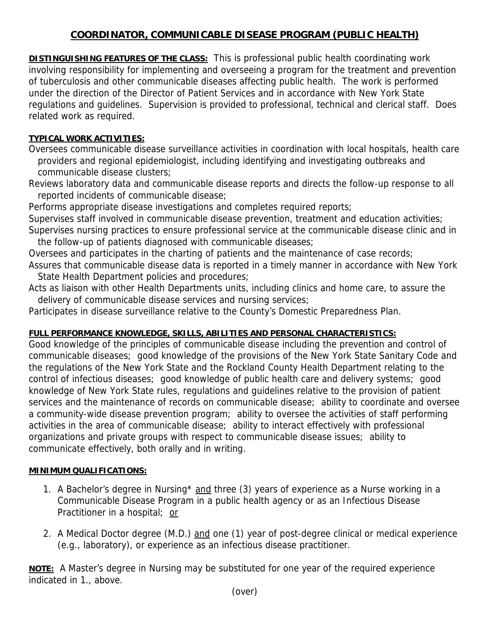## **COORDINATOR, COMMUNICABLE DISEASE PROGRAM (PUBLIC HEALTH)**

**DISTINGUISHING FEATURES OF THE CLASS:** This is professional public health coordinating work involving responsibility for implementing and overseeing a program for the treatment and prevention of tuberculosis and other communicable diseases affecting public health. The work is performed under the direction of the Director of Patient Services and in accordance with New York State regulations and guidelines. Supervision is provided to professional, technical and clerical staff. Does related work as required.

## **TYPICAL WORK ACTIVITIES:**

Oversees communicable disease surveillance activities in coordination with local hospitals, health care providers and regional epidemiologist, including identifying and investigating outbreaks and communicable disease clusters;

Reviews laboratory data and communicable disease reports and directs the follow-up response to all reported incidents of communicable disease;

Performs appropriate disease investigations and completes required reports;

Supervises staff involved in communicable disease prevention, treatment and education activities; Supervises nursing practices to ensure professional service at the communicable disease clinic and in

 the follow-up of patients diagnosed with communicable diseases; Oversees and participates in the charting of patients and the maintenance of case records; Assures that communicable disease data is reported in a timely manner in accordance with New York

State Health Department policies and procedures;

Acts as liaison with other Health Departments units, including clinics and home care, to assure the delivery of communicable disease services and nursing services;

Participates in disease surveillance relative to the County's Domestic Preparedness Plan.

## **FULL PERFORMANCE KNOWLEDGE, SKILLS, ABILITIES AND PERSONAL CHARACTERISTICS:**

Good knowledge of the principles of communicable disease including the prevention and control of communicable diseases; good knowledge of the provisions of the New York State Sanitary Code and the regulations of the New York State and the Rockland County Health Department relating to the control of infectious diseases; good knowledge of public health care and delivery systems; good knowledge of New York State rules, regulations and guidelines relative to the provision of patient services and the maintenance of records on communicable disease; ability to coordinate and oversee a community-wide disease prevention program; ability to oversee the activities of staff performing activities in the area of communicable disease; ability to interact effectively with professional organizations and private groups with respect to communicable disease issues; ability to communicate effectively, both orally and in writing.

## **MINIMUM QUALIFICATIONS:**

- 1. A Bachelor's degree in Nursing\* and three (3) years of experience as a Nurse working in a Communicable Disease Program in a public health agency or as an Infectious Disease Practitioner in a hospital; or
- 2. A Medical Doctor degree (M.D.) and one (1) year of post-degree clinical or medical experience (e.g., laboratory), or experience as an infectious disease practitioner.

**NOTE:** A Master's degree in Nursing may be substituted for one year of the required experience indicated in 1., above.